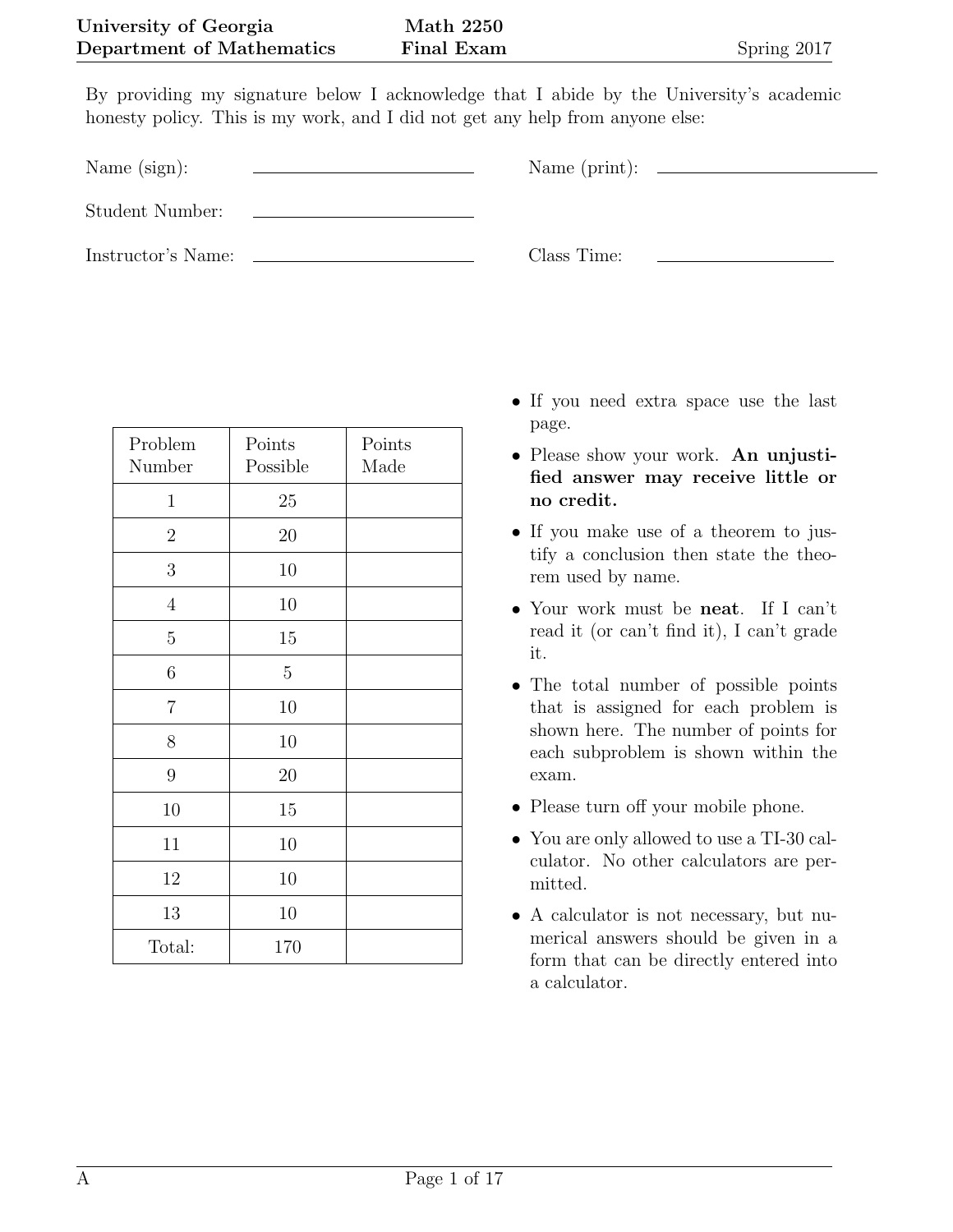By providing my signature below I acknowledge that I abide by the University's academic honesty policy. This is my work, and I did not get any help from anyone else:

Name (sign):  $\qquad \qquad \qquad$  Name (print):

Student Number:

Instructor's Name: Class Time:

| Problem<br>Number | Points<br>Possible | Points<br>Made |
|-------------------|--------------------|----------------|
| 1                 | 25                 |                |
| $\overline{2}$    | 20                 |                |
| 3                 | 10                 |                |
| $\overline{4}$    | 10                 |                |
| $\overline{5}$    | 15                 |                |
| $\sqrt{6}$        | $\mathbf 5$        |                |
| $\overline{7}$    | 10                 |                |
| 8                 | 10                 |                |
| $\boldsymbol{9}$  | 20                 |                |
| 10                | 15                 |                |
| 11                | 10                 |                |
| 12                | 10                 |                |
| 13                | 10                 |                |
| Total:            | 170                |                |

- *•* If you need extra space use the last page.
- *•* Please show your work. **An unjustified answer may receive little or no credit.**
- *•* If you make use of a theorem to justify a conclusion then state the theorem used by name.
- *•* Your work must be **neat**. If I can't read it (or can't find it), I can't grade it.
- *•* The total number of possible points that is assigned for each problem is shown here. The number of points for each subproblem is shown within the exam.
- Please turn off your mobile phone.
- *•* You are only allowed to use a TI-30 calculator. No other calculators are permitted.
- A calculator is not necessary, but numerical answers should be given in a form that can be directly entered into a calculator.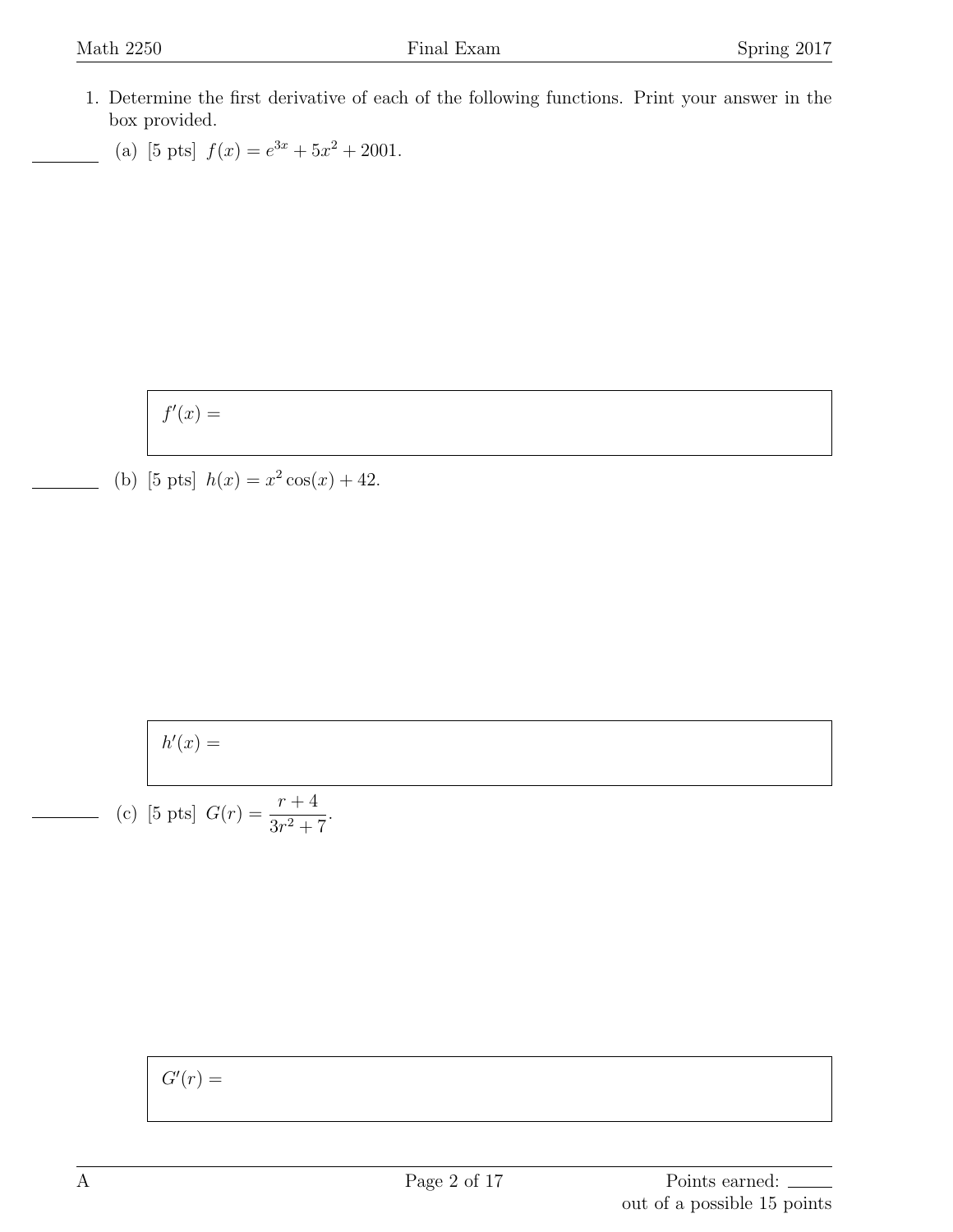- 1. Determine the first derivative of each of the following functions. Print your answer in the box provided.
	- (a) [5 pts]  $f(x) = e^{3x} + 5x^2 + 2001$ .

$$
f'(x) =
$$

(b) [5 pts]  $h(x) = x^2 \cos(x) + 42$ .

$$
h'(x) =
$$

(c) [5 pts] 
$$
G(r) = \frac{r+4}{3r^2+7}
$$
.

 $G'(r) =$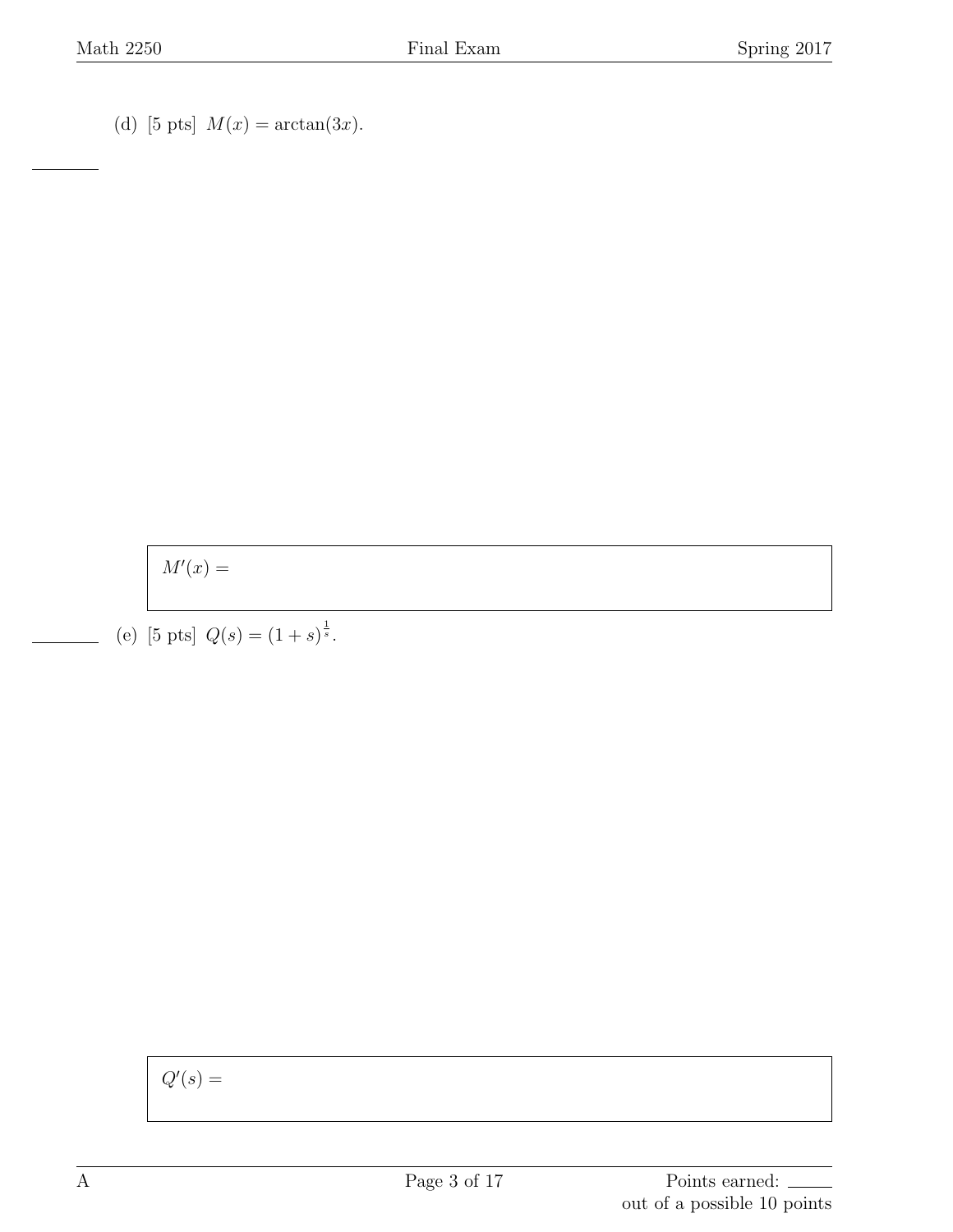(d) [5 pts]  $M(x) = \arctan(3x)$ .

 $M'(x) =$ 

(e) [5 pts]  $Q(s) = (1 + s)^{\frac{1}{s}}$ .

 $Q'(s) =$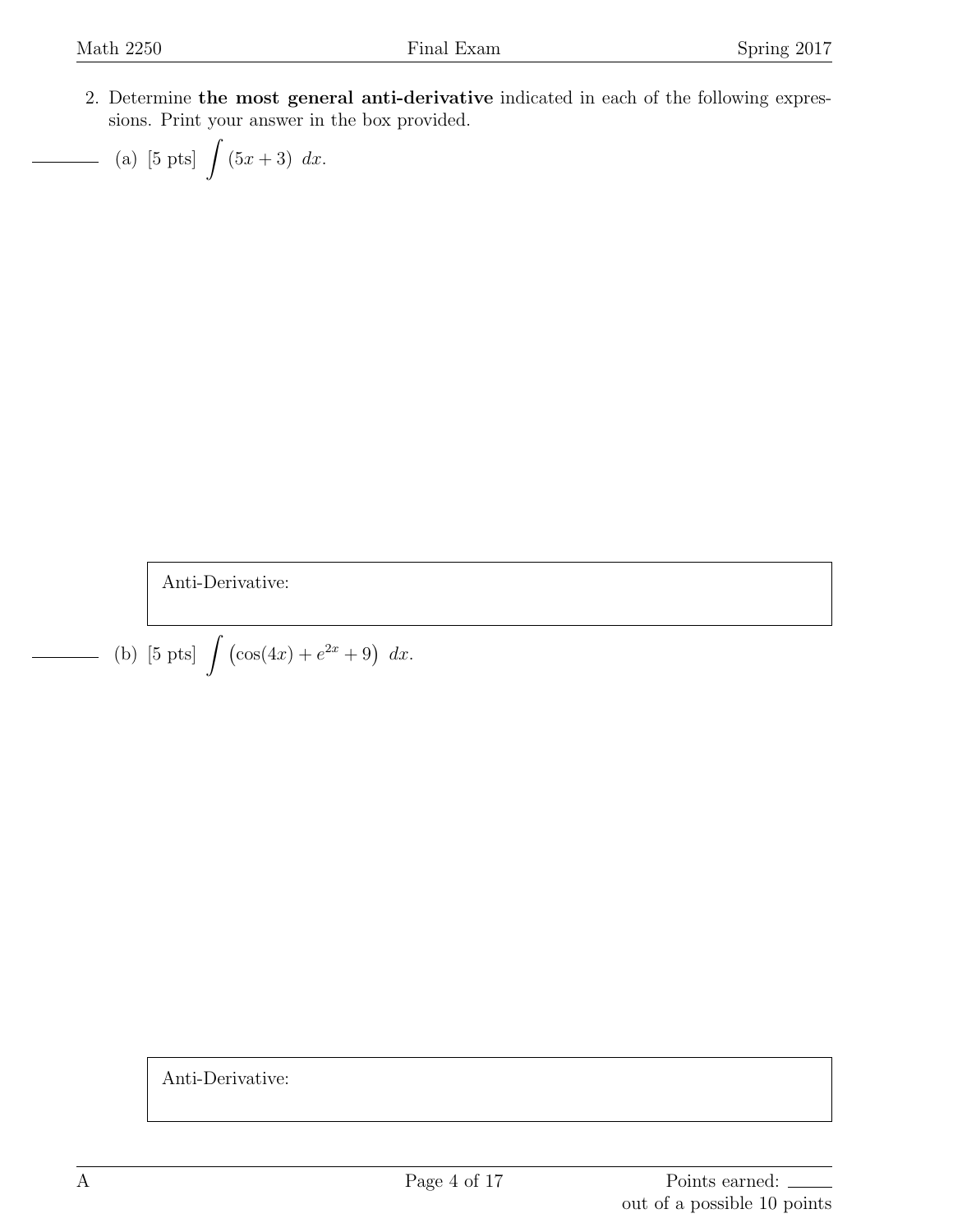2. Determine **the most general anti-derivative** indicated in each of the following expressions. Print your answer in the box provided.

(a) [5 pts] 
$$
\int (5x+3) dx
$$
.

Anti-Derivative:

(b) [5 pts] 
$$
\int (\cos(4x) + e^{2x} + 9) dx
$$
.

Anti-Derivative: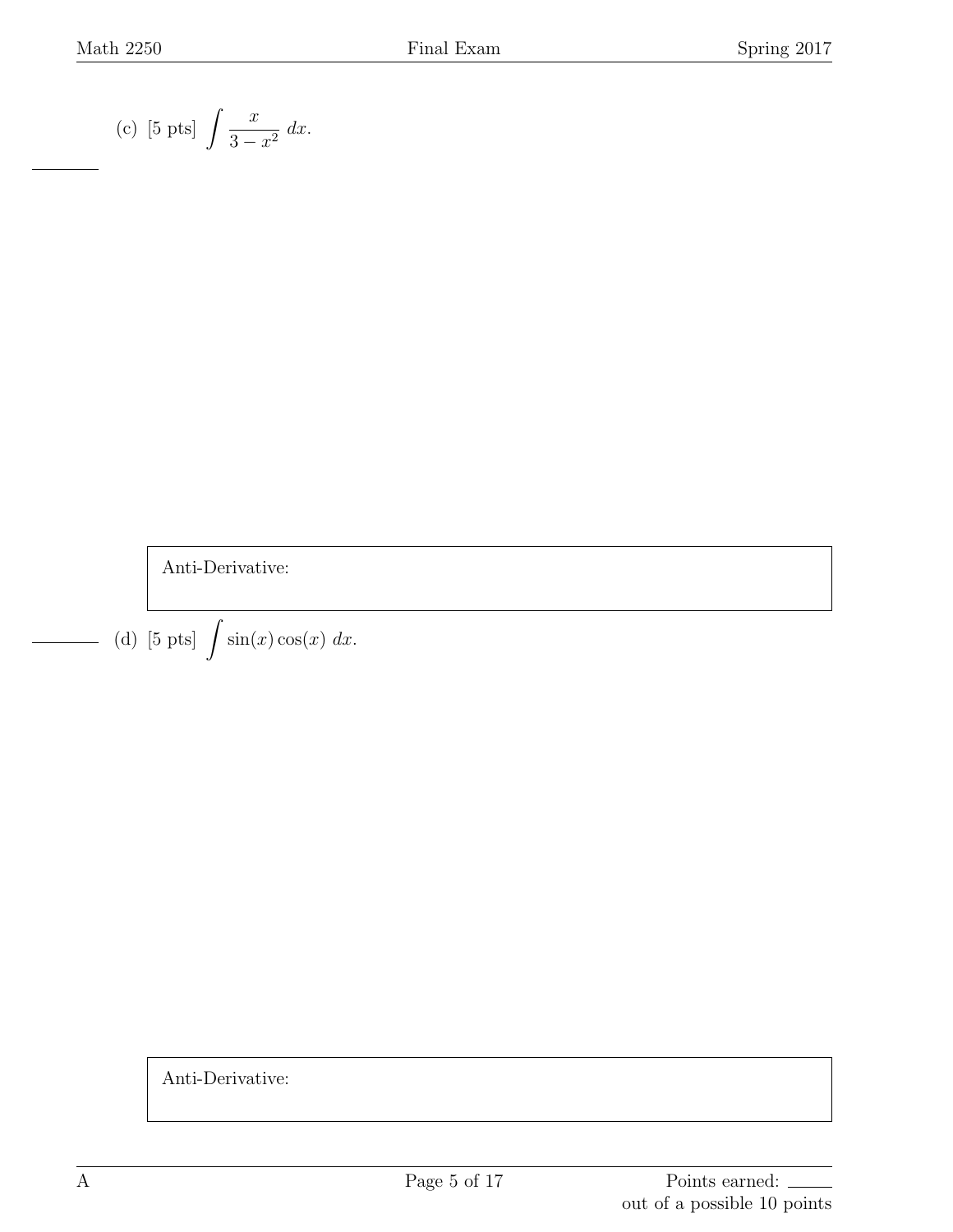(c) [5 pts] 
$$
\int \frac{x}{3 - x^2} dx
$$
.

Anti-Derivative:

(d) [5 pts]  $\int \sin(x) \cos(x) dx$ .

Anti-Derivative:

 $\overline{\phantom{a}}$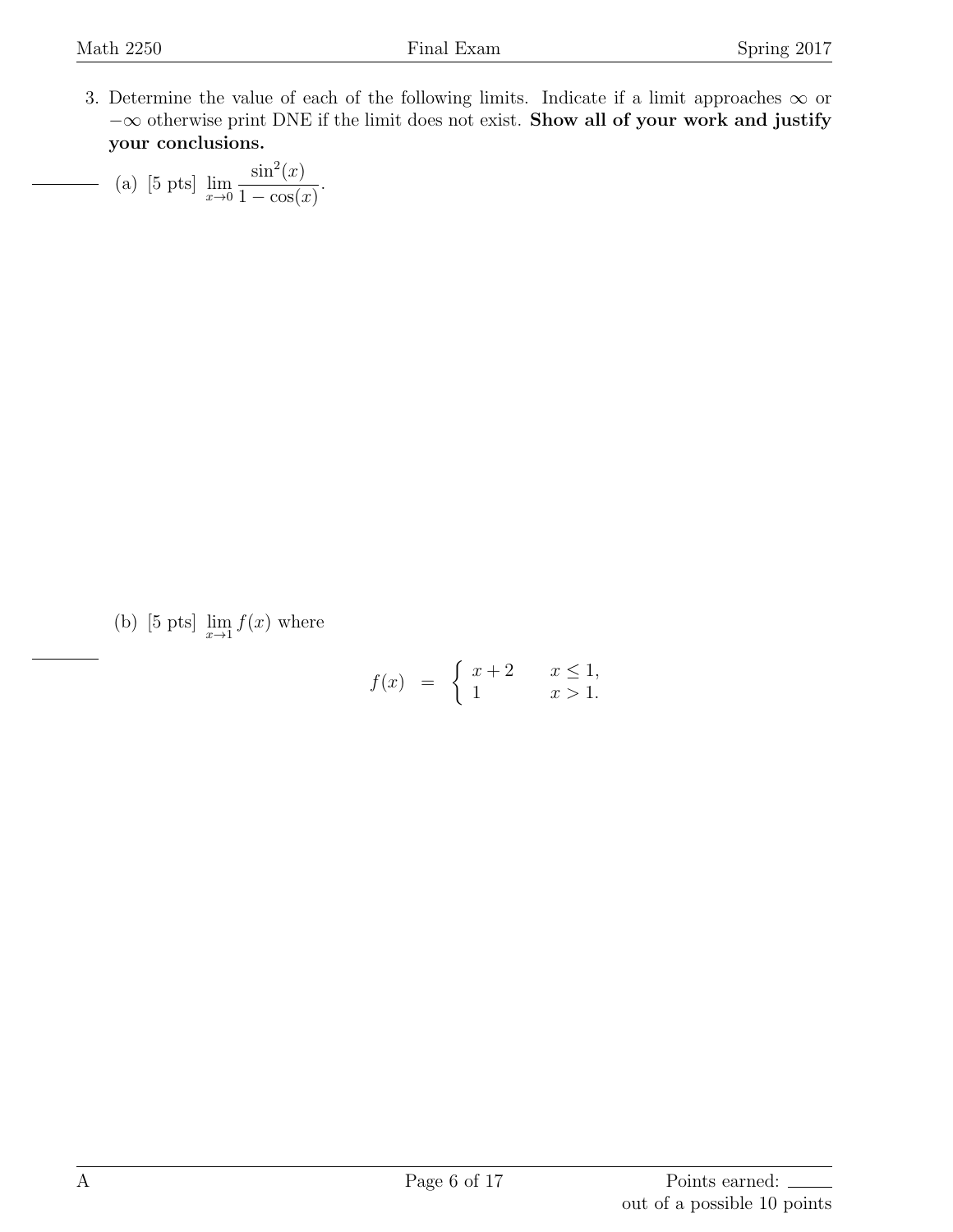3. Determine the value of each of the following limits. Indicate if a limit approaches  $\infty$  or *−∞* otherwise print DNE if the limit does not exist. **Show all of your work and justify your conclusions.**

(a) [5 pts]  $\lim_{x\to 0}$  $\sin^2(x)$  $1 - \cos(x)$ .

(b) [5 pts]  $\lim_{x \to 1} f(x)$  where

$$
f(x) = \begin{cases} x+2 & x \le 1, \\ 1 & x > 1. \end{cases}
$$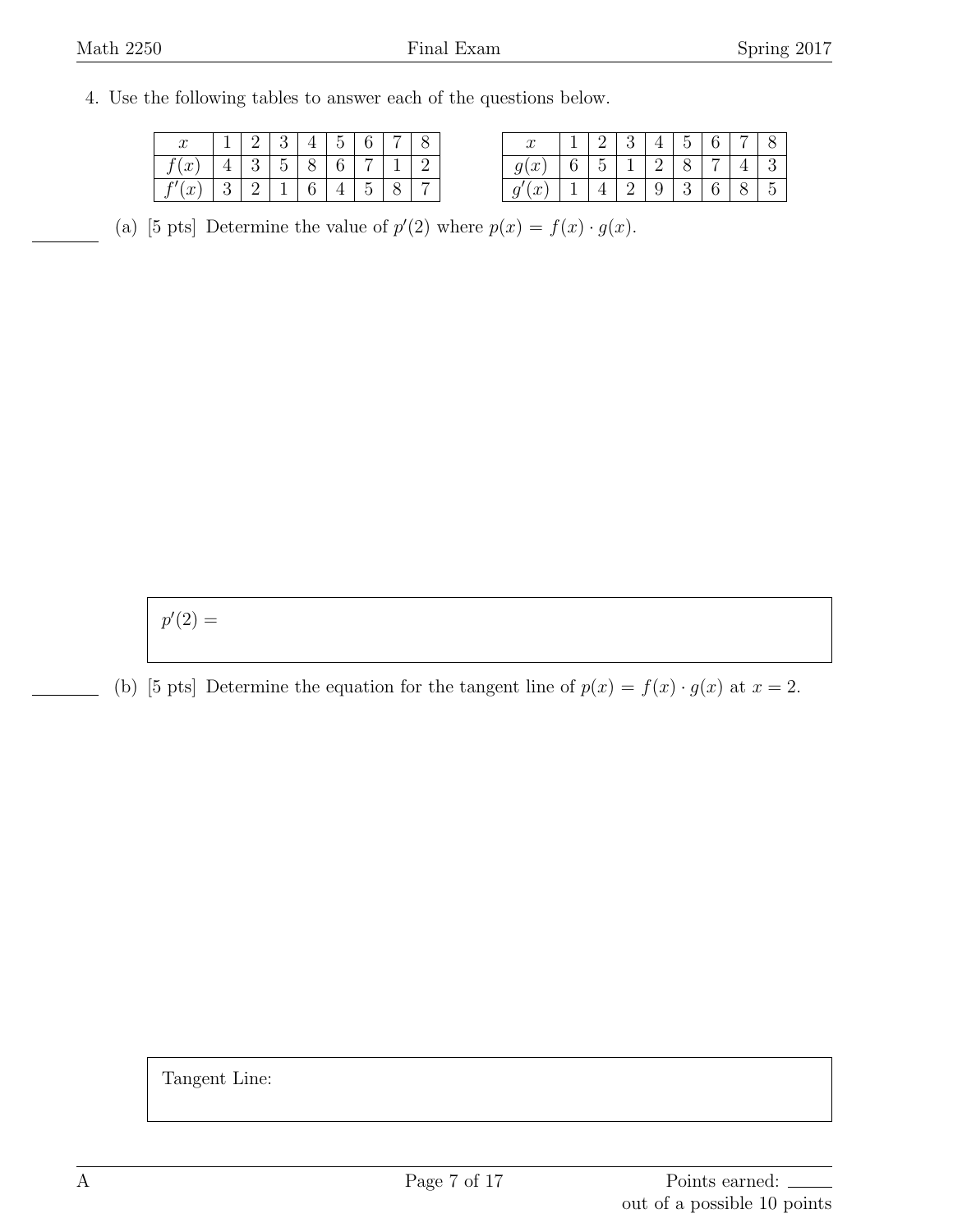## 4. Use the following tables to answer each of the questions below.

| $\alpha$<br>u     |  |  | $\tilde{\phantom{a}}$ |  |  |
|-------------------|--|--|-----------------------|--|--|
| $\mathcal{L}$     |  |  |                       |  |  |
| $\sim$<br>$\cdot$ |  |  |                       |  |  |

|                  |  |  | ► |  |     |
|------------------|--|--|---|--|-----|
| $\boldsymbol{x}$ |  |  |   |  |     |
| J                |  |  |   |  | . . |

(a) [5 pts] Determine the value of  $p'(2)$  where  $p(x) = f(x) \cdot g(x)$ .

 $p'(2) =$ 

(b) [5 pts] Determine the equation for the tangent line of  $p(x) = f(x) \cdot g(x)$  at  $x = 2$ .

Tangent Line: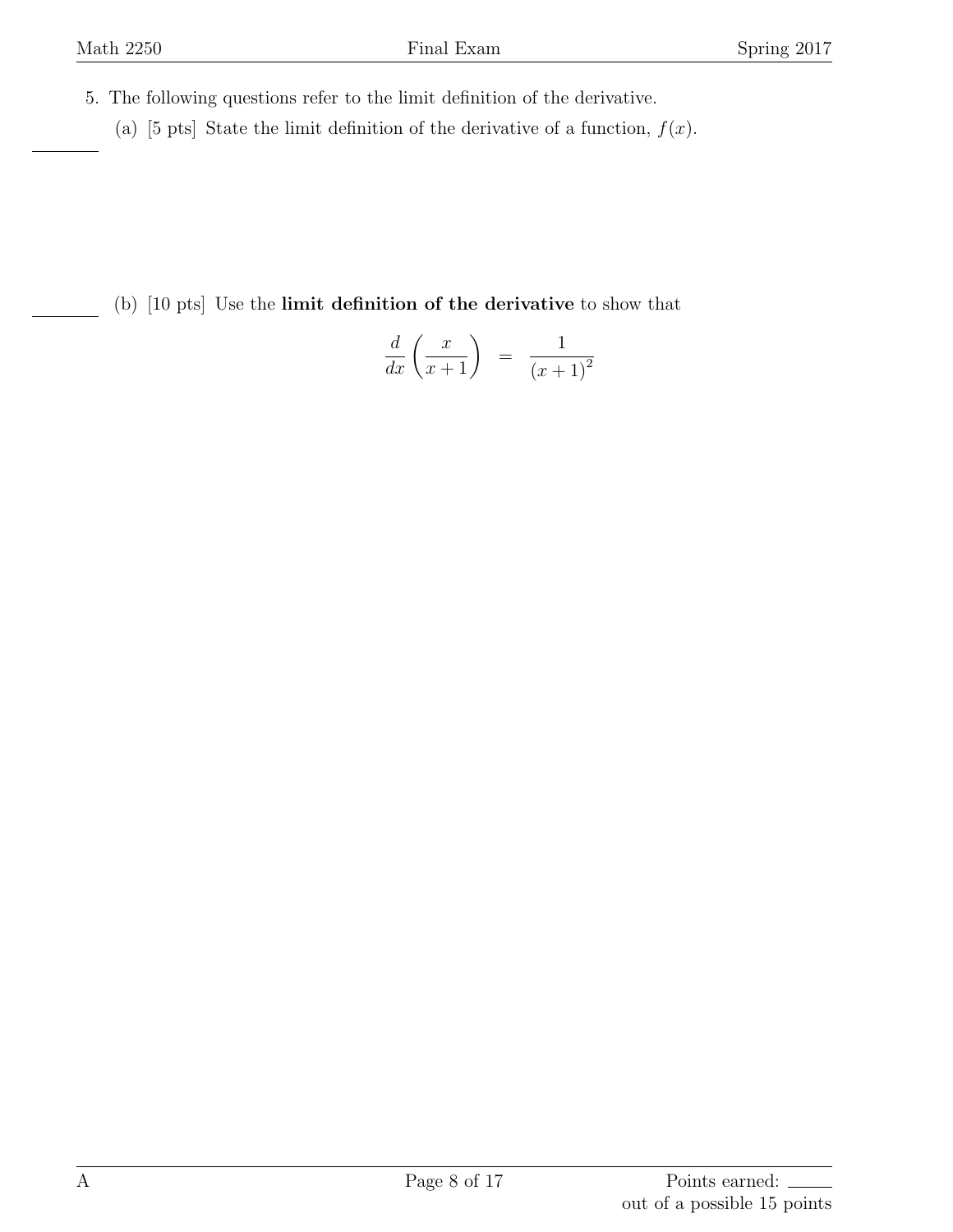- 5. The following questions refer to the limit definition of the derivative.
	- (a) [5 pts] State the limit definition of the derivative of a function,  $f(x)$ .

(b) [10 pts] Use the **limit definition of the derivative** to show that

$$
\frac{d}{dx}\left(\frac{x}{x+1}\right) = \frac{1}{(x+1)^2}
$$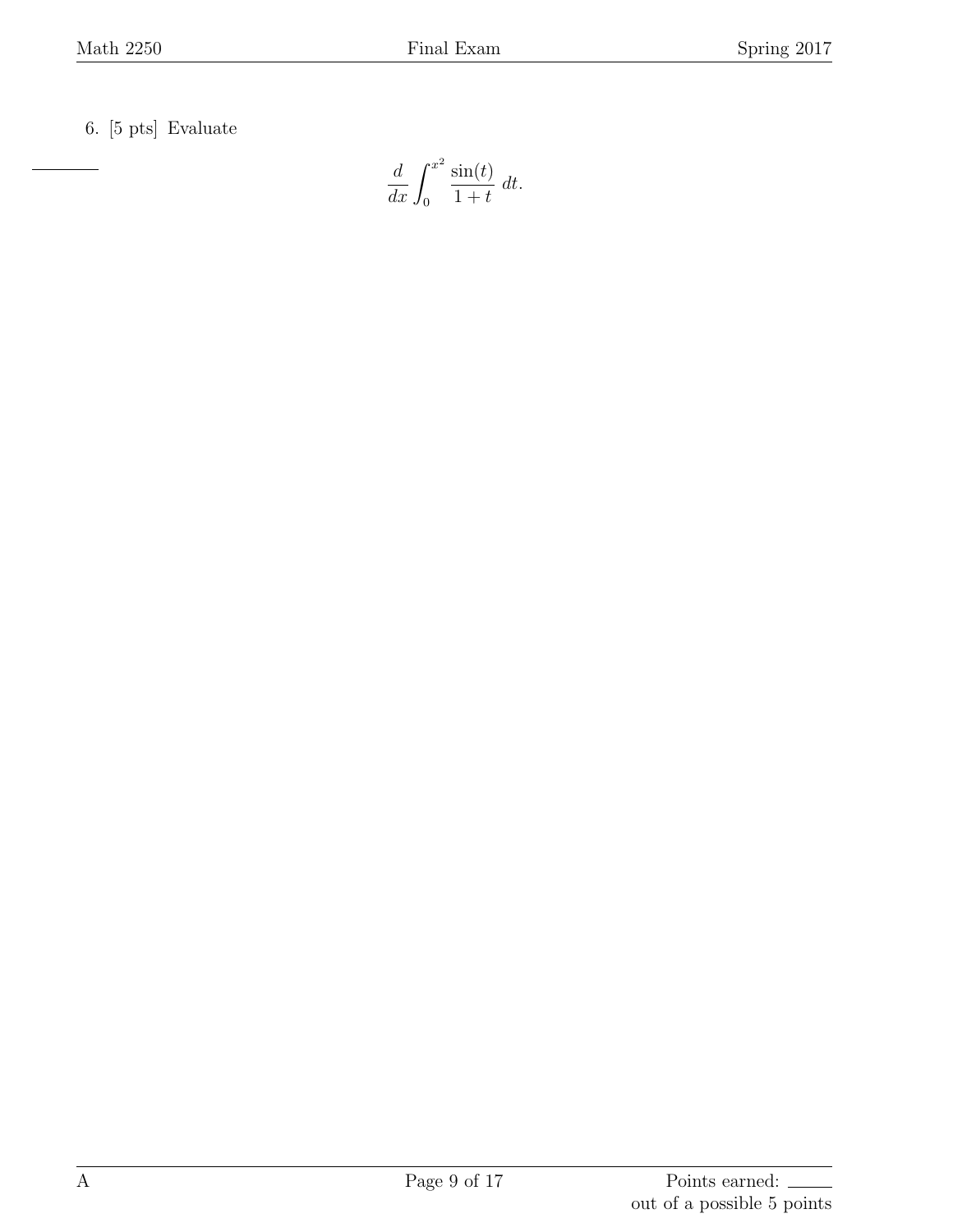6. [5 pts] Evaluate

$$
\frac{d}{dx} \int_0^{x^2} \frac{\sin(t)}{1+t} \, dt.
$$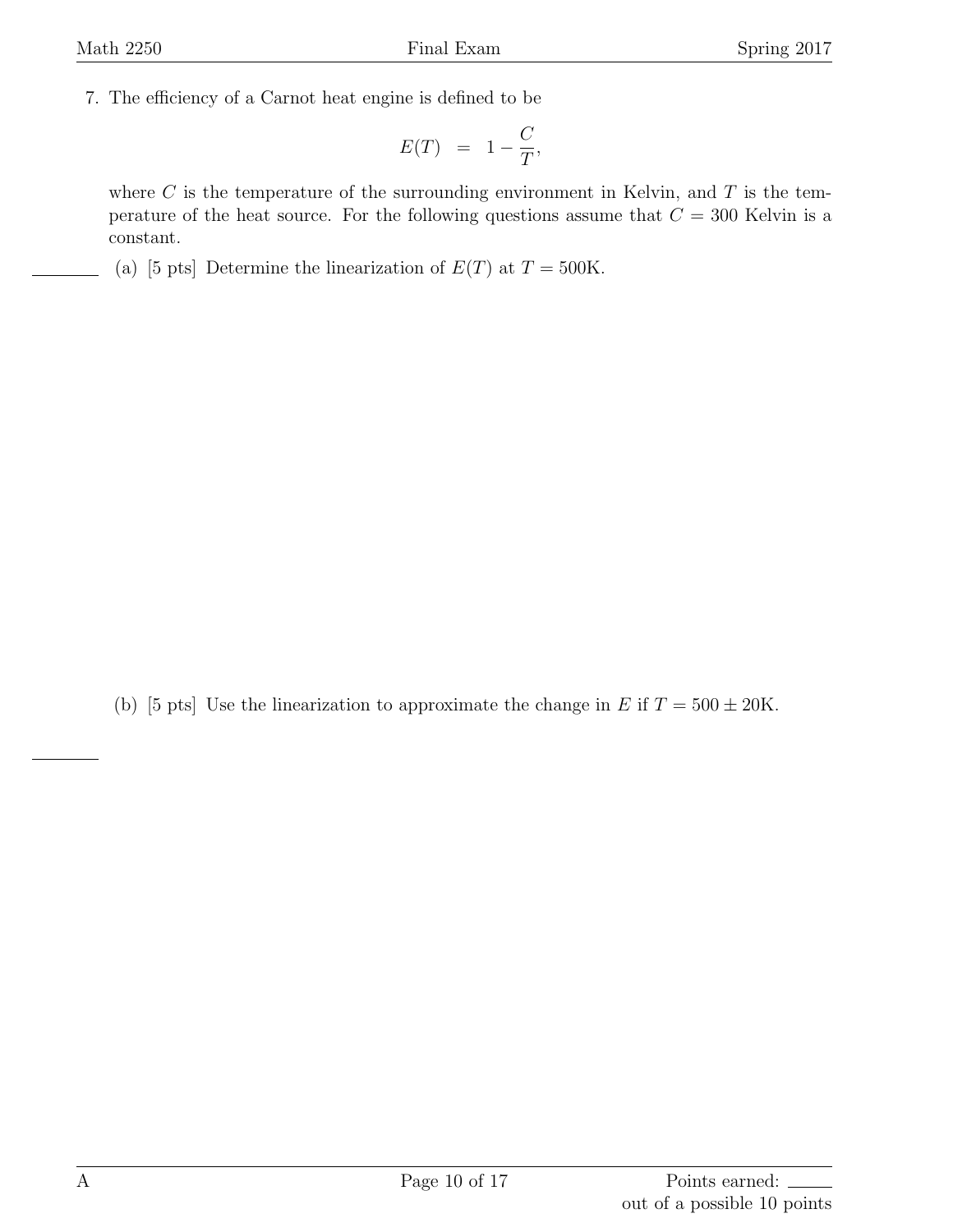7. The efficiency of a Carnot heat engine is defined to be

$$
E(T) = 1 - \frac{C}{T},
$$

where *C* is the temperature of the surrounding environment in Kelvin, and *T* is the temperature of the heat source. For the following questions assume that  $C = 300$  Kelvin is a constant.

(a) [5 pts] Determine the linearization of  $E(T)$  at  $T = 500$ K.

(b) [5 pts] Use the linearization to approximate the change in  $E$  if  $T = 500 \pm 20$ K.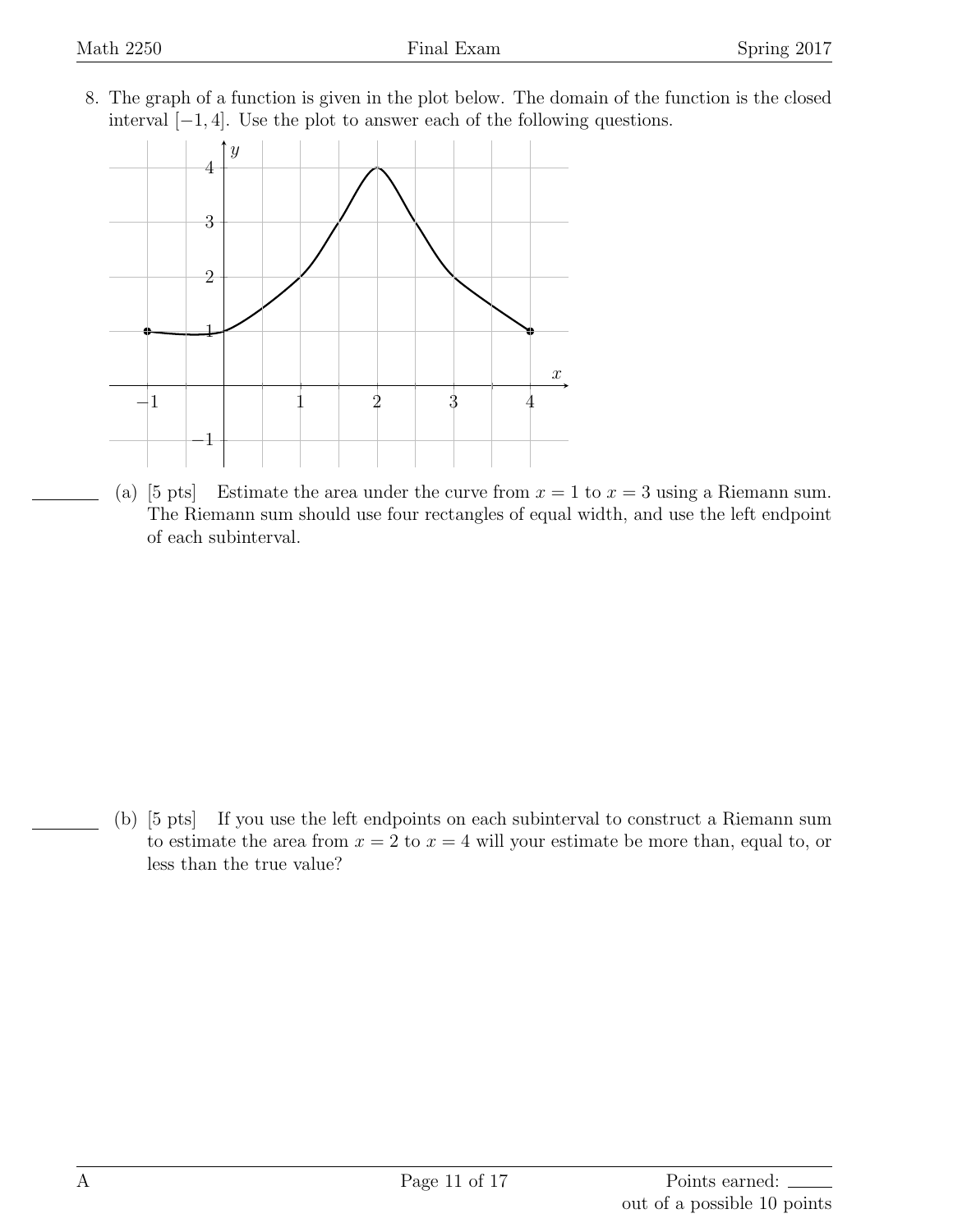8. The graph of a function is given in the plot below. The domain of the function is the closed interval [*−*1*,* 4]. Use the plot to answer each of the following questions.



(a) [5 pts] Estimate the area under the curve from  $x = 1$  to  $x = 3$  using a Riemann sum. The Riemann sum should use four rectangles of equal width, and use the left endpoint of each subinterval.

(b) [5 pts] If you use the left endpoints on each subinterval to construct a Riemann sum to estimate the area from  $x = 2$  to  $x = 4$  will your estimate be more than, equal to, or less than the true value?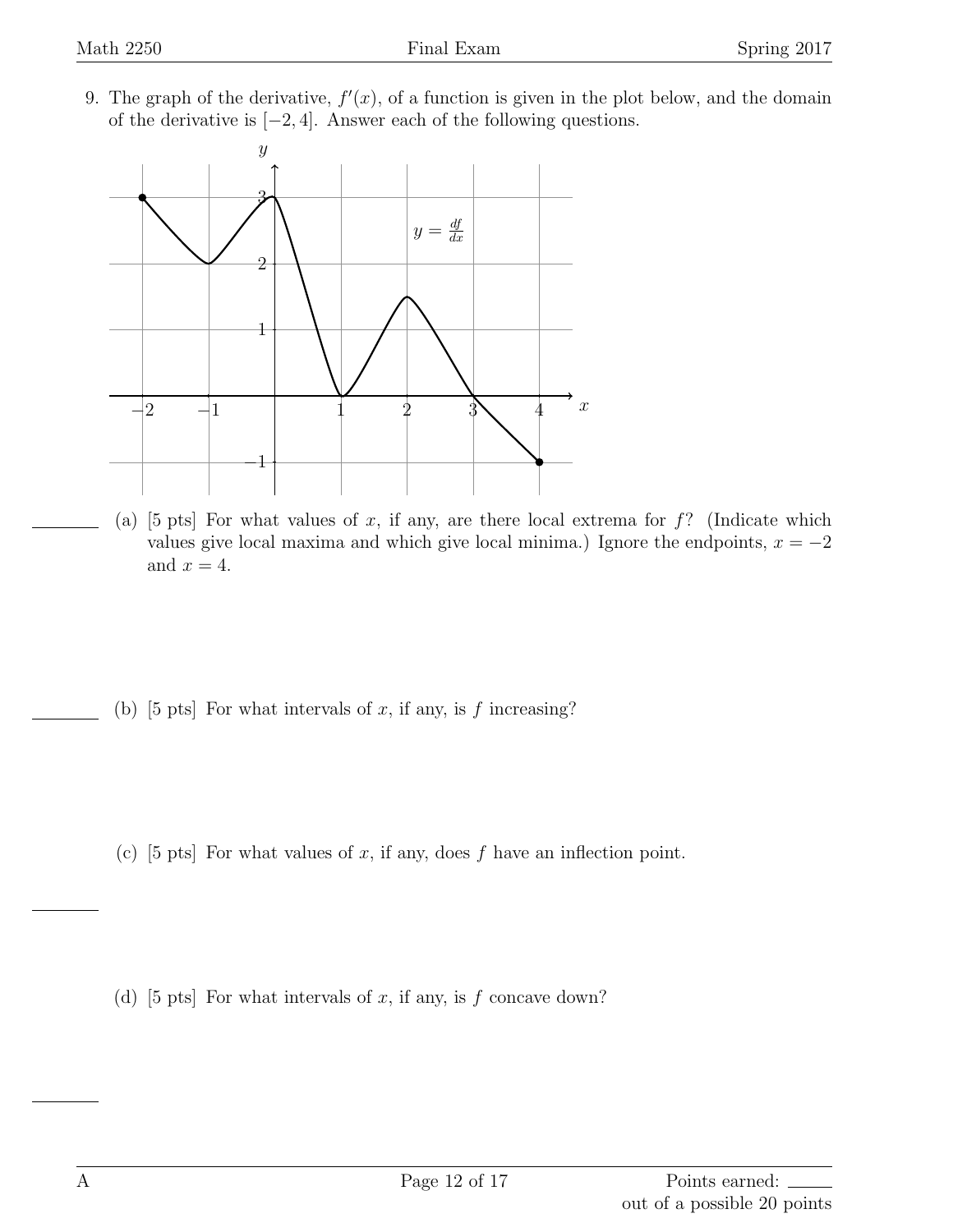9. The graph of the derivative,  $f'(x)$ , of a function is given in the plot below, and the domain of the derivative is [*−*2*,* 4]. Answer each of the following questions.



- (a) [5 pts] For what values of *x*, if any, are there local extrema for *f*? (Indicate which values give local maxima and which give local minima.) Ignore the endpoints,  $x = -2$ and  $x = 4$ .
- (b)  $[5 \text{ pts}]$  For what intervals of *x*, if any, is *f* increasing?
- (c) [5 pts] For what values of *x*, if any, does *f* have an inflection point.

(d) [5 pts] For what intervals of *x*, if any, is *f* concave down?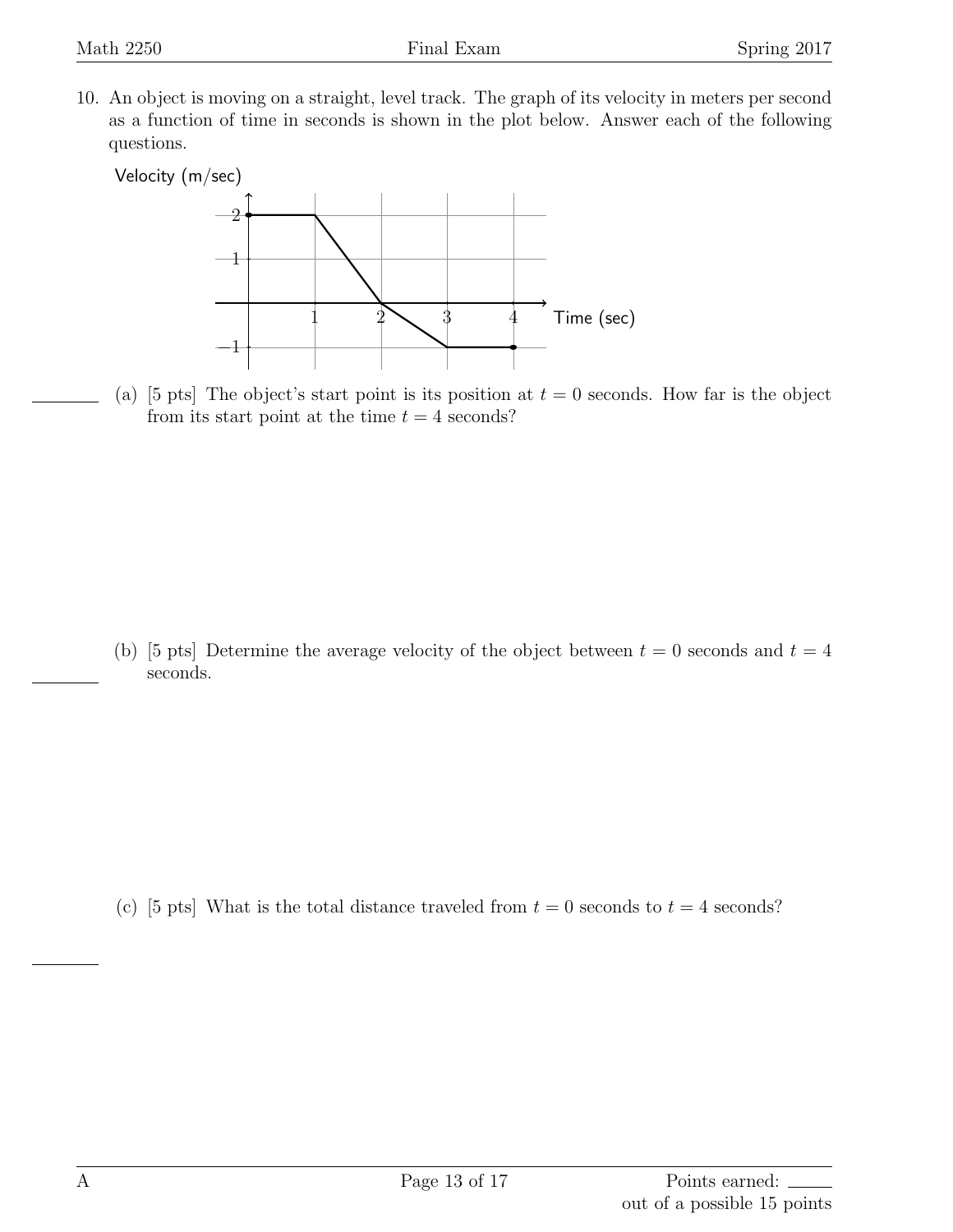10. An object is moving on a straight, level track. The graph of its velocity in meters per second as a function of time in seconds is shown in the plot below. Answer each of the following questions.



(a) [5 pts] The object's start point is its position at  $t = 0$  seconds. How far is the object from its start point at the time  $t = 4$  seconds?

(b) [5 pts] Determine the average velocity of the object between  $t = 0$  seconds and  $t = 4$ seconds.

(c) [5 pts] What is the total distance traveled from  $t = 0$  seconds to  $t = 4$  seconds?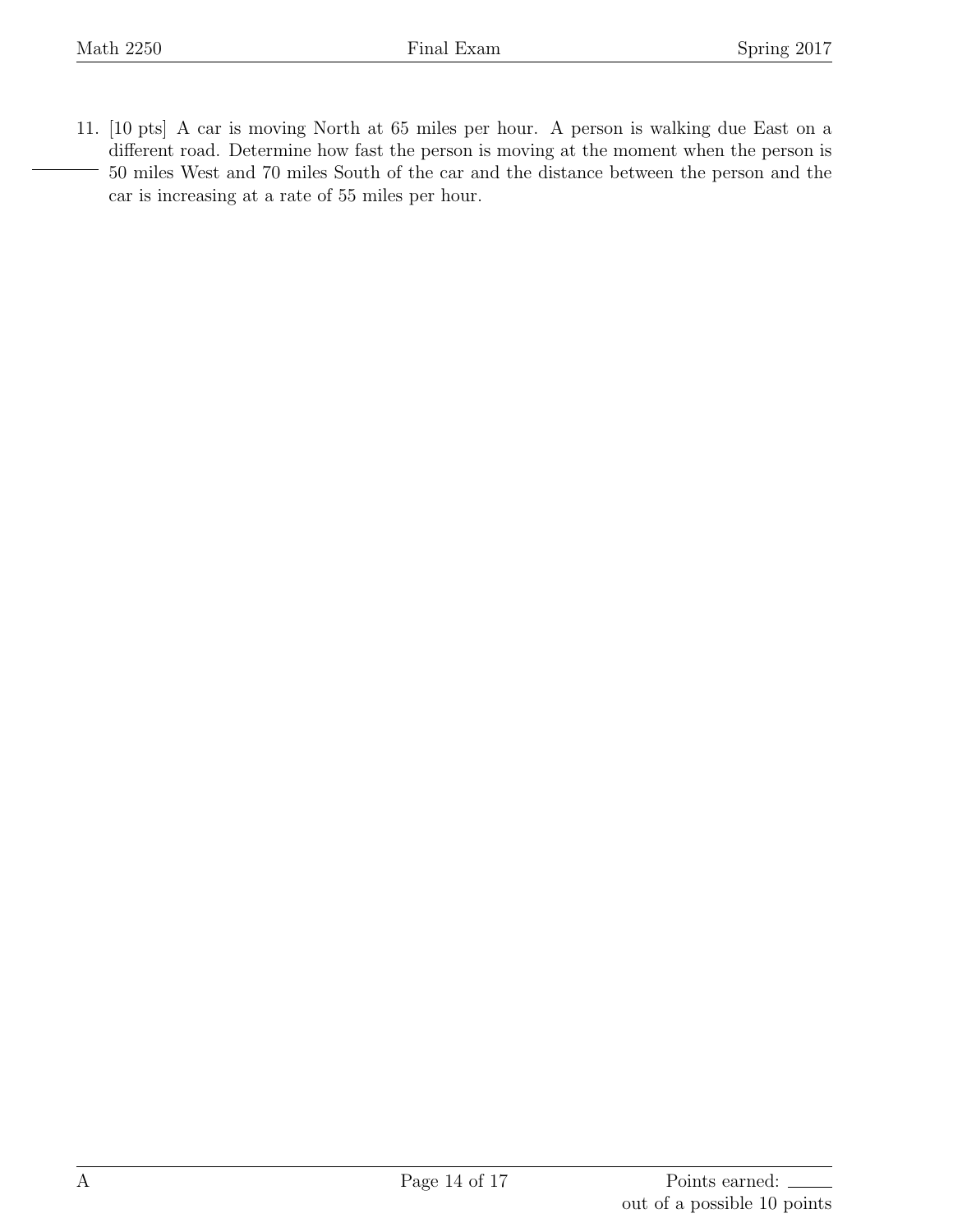11. [10 pts] A car is moving North at 65 miles per hour. A person is walking due East on a different road. Determine how fast the person is moving at the moment when the person is 50 miles West and 70 miles South of the car and the distance between the person and the car is increasing at a rate of 55 miles per hour.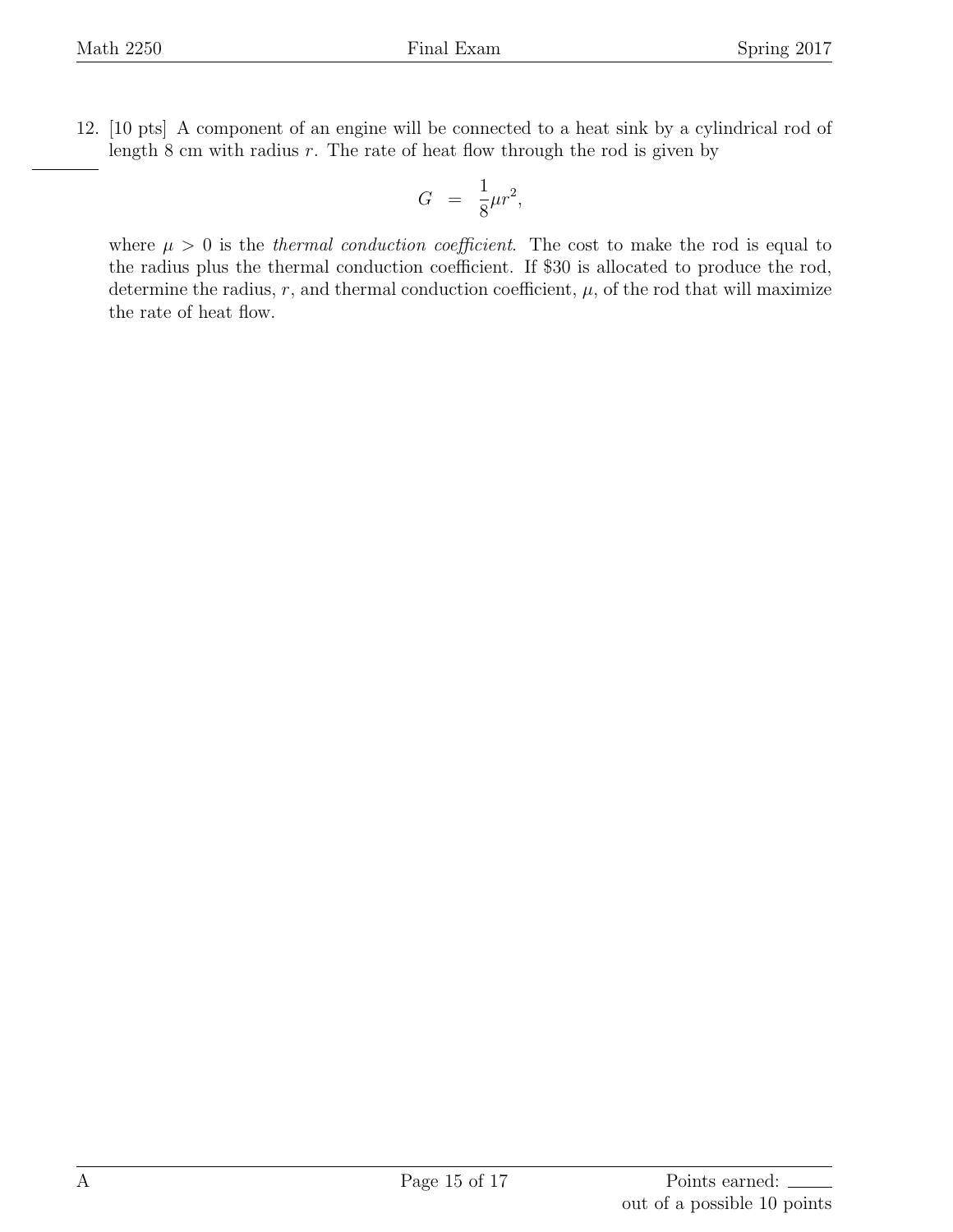12. [10 pts] A component of an engine will be connected to a heat sink by a cylindrical rod of length 8 cm with radius *r*. The rate of heat flow through the rod is given by

$$
G = \frac{1}{8}\mu r^2,
$$

where  $\mu > 0$  is the *thermal conduction coefficient*. The cost to make the rod is equal to the radius plus the thermal conduction coefficient. If \$30 is allocated to produce the rod, determine the radius,  $r$ , and thermal conduction coefficient,  $\mu$ , of the rod that will maximize the rate of heat flow.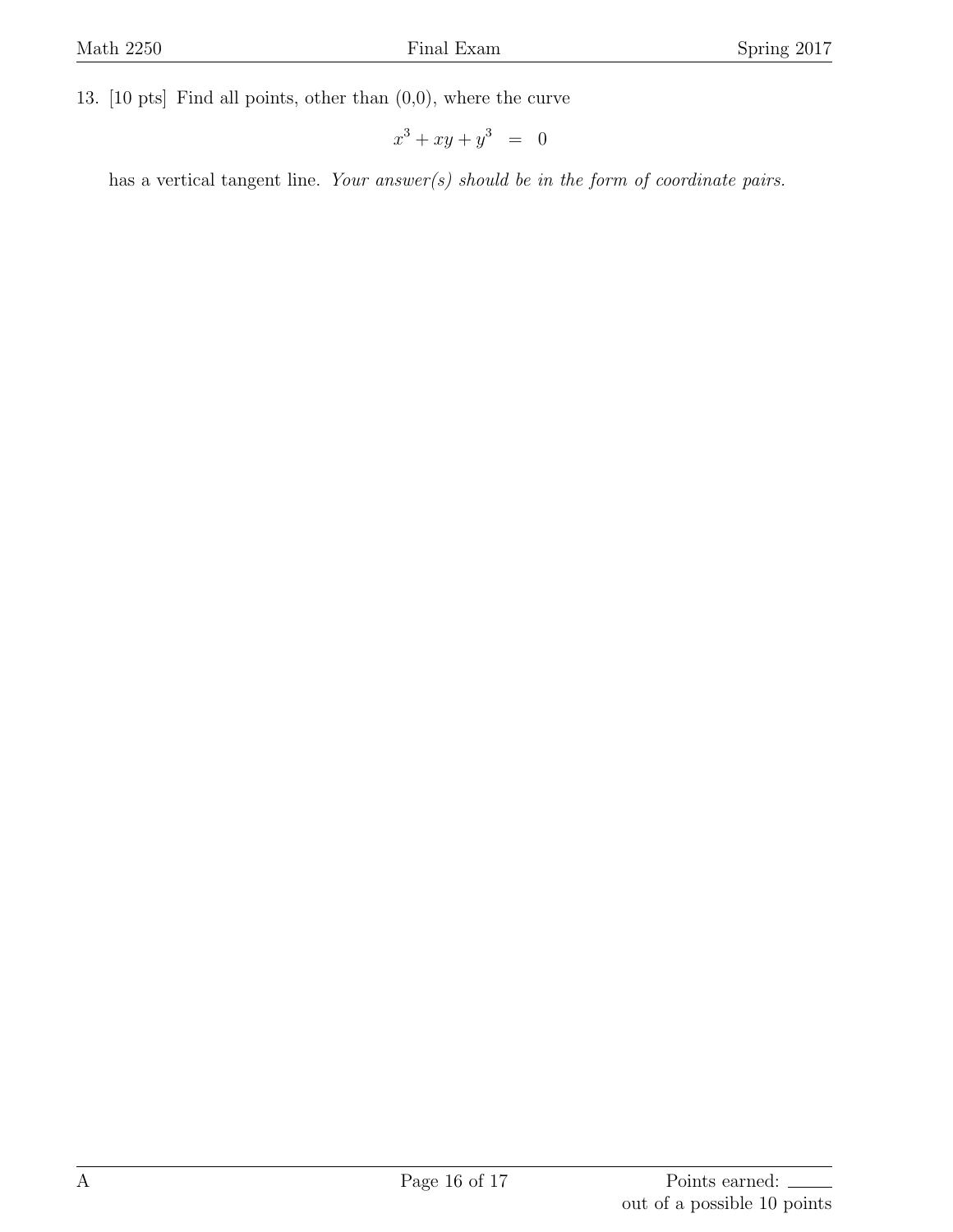13. [10 pts] Find all points, other than (0,0), where the curve

$$
x^3 + xy + y^3 = 0
$$

has a vertical tangent line. *Your answer(s) should be in the form of coordinate pairs.*